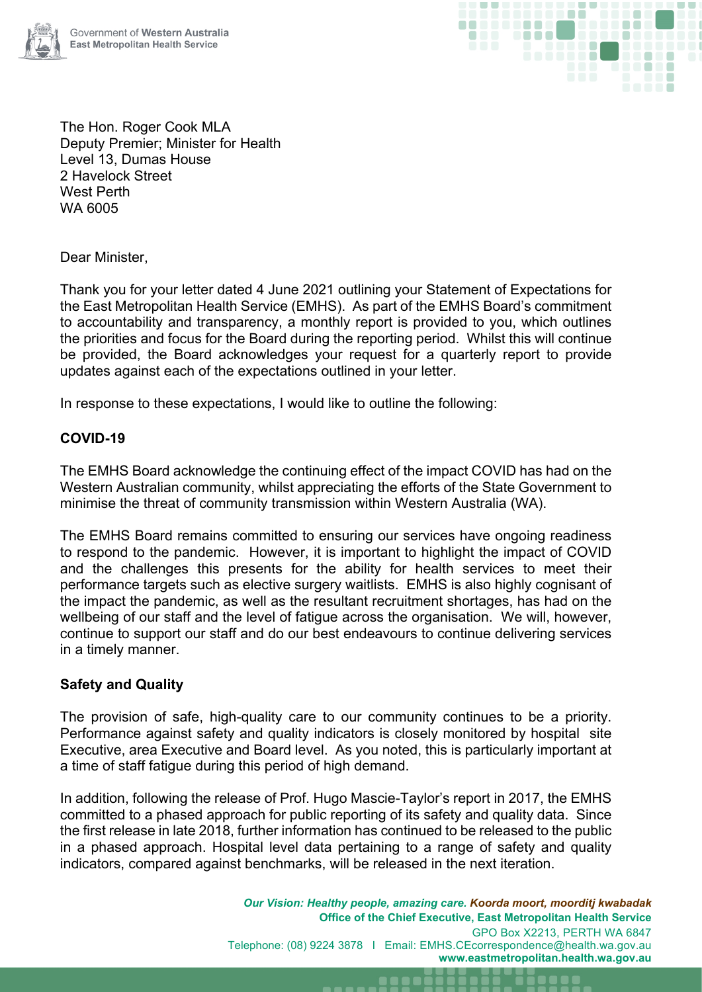



The Hon. Roger Cook MLA Deputy Premier; Minister for Health Level 13, Dumas House 2 Havelock Street West Perth WA 6005

Dear Minister,

Thank you for your letter dated 4 June 2021 outlining your Statement of Expectations for the East Metropolitan Health Service (EMHS). As part of the EMHS Board's commitment to accountability and transparency, a monthly report is provided to you, which outlines the priorities and focus for the Board during the reporting period. Whilst this will continue be provided, the Board acknowledges your request for a quarterly report to provide updates against each of the expectations outlined in your letter.

In response to these expectations, I would like to outline the following:

# **COVID-19**

The EMHS Board acknowledge the continuing effect of the impact COVID has had on the Western Australian community, whilst appreciating the efforts of the State Government to minimise the threat of community transmission within Western Australia (WA).

The EMHS Board remains committed to ensuring our services have ongoing readiness to respond to the pandemic. However, it is important to highlight the impact of COVID and the challenges this presents for the ability for health services to meet their performance targets such as elective surgery waitlists. EMHS is also highly cognisant of the impact the pandemic, as well as the resultant recruitment shortages, has had on the wellbeing of our staff and the level of fatigue across the organisation. We will, however, continue to support our staff and do our best endeavours to continue delivering services in a timely manner.

# **Safety and Quality**

The provision of safe, high-quality care to our community continues to be a priority. Performance against safety and quality indicators is closely monitored by hospital site Executive, area Executive and Board level. As you noted, this is particularly important at a time of staff fatigue during this period of high demand.

In addition, following the release of Prof. Hugo Mascie-Taylor's report in 2017, the EMHS committed to a phased approach for public reporting of its safety and quality data. Since the first release in late 2018, further information has continued to be released to the public in a phased approach. Hospital level data pertaining to a range of safety and quality indicators, compared against benchmarks, will be released in the next iteration.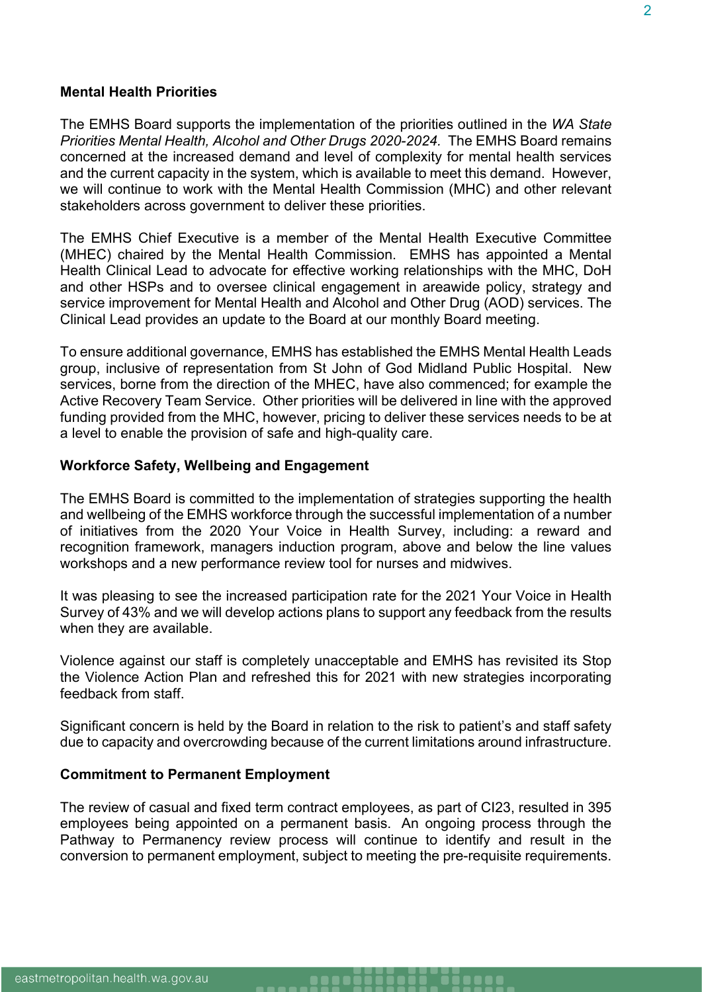### **Mental Health Priorities**

The EMHS Board supports the implementation of the priorities outlined in the *WA State Priorities Mental Health, Alcohol and Other Drugs 2020-2024.* The EMHS Board remains concerned at the increased demand and level of complexity for mental health services and the current capacity in the system, which is available to meet this demand. However, we will continue to work with the Mental Health Commission (MHC) and other relevant stakeholders across government to deliver these priorities.

The EMHS Chief Executive is a member of the Mental Health Executive Committee (MHEC) chaired by the Mental Health Commission. EMHS has appointed a Mental Health Clinical Lead to advocate for effective working relationships with the MHC, DoH and other HSPs and to oversee clinical engagement in areawide policy, strategy and service improvement for Mental Health and Alcohol and Other Drug (AOD) services. The Clinical Lead provides an update to the Board at our monthly Board meeting.

To ensure additional governance, EMHS has established the EMHS Mental Health Leads group, inclusive of representation from St John of God Midland Public Hospital. New services, borne from the direction of the MHEC, have also commenced; for example the Active Recovery Team Service. Other priorities will be delivered in line with the approved funding provided from the MHC, however, pricing to deliver these services needs to be at a level to enable the provision of safe and high-quality care.

#### **Workforce Safety, Wellbeing and Engagement**

The EMHS Board is committed to the implementation of strategies supporting the health and wellbeing of the EMHS workforce through the successful implementation of a number of initiatives from the 2020 Your Voice in Health Survey, including: a reward and recognition framework, managers induction program, above and below the line values workshops and a new performance review tool for nurses and midwives.

It was pleasing to see the increased participation rate for the 2021 Your Voice in Health Survey of 43% and we will develop actions plans to support any feedback from the results when they are available.

Violence against our staff is completely unacceptable and EMHS has revisited its Stop the Violence Action Plan and refreshed this for 2021 with new strategies incorporating feedback from staff.

Significant concern is held by the Board in relation to the risk to patient's and staff safety due to capacity and overcrowding because of the current limitations around infrastructure.

### **Commitment to Permanent Employment**

The review of casual and fixed term contract employees, as part of CI23, resulted in 395 employees being appointed on a permanent basis. An ongoing process through the Pathway to Permanency review process will continue to identify and result in the conversion to permanent employment, subject to meeting the pre-requisite requirements.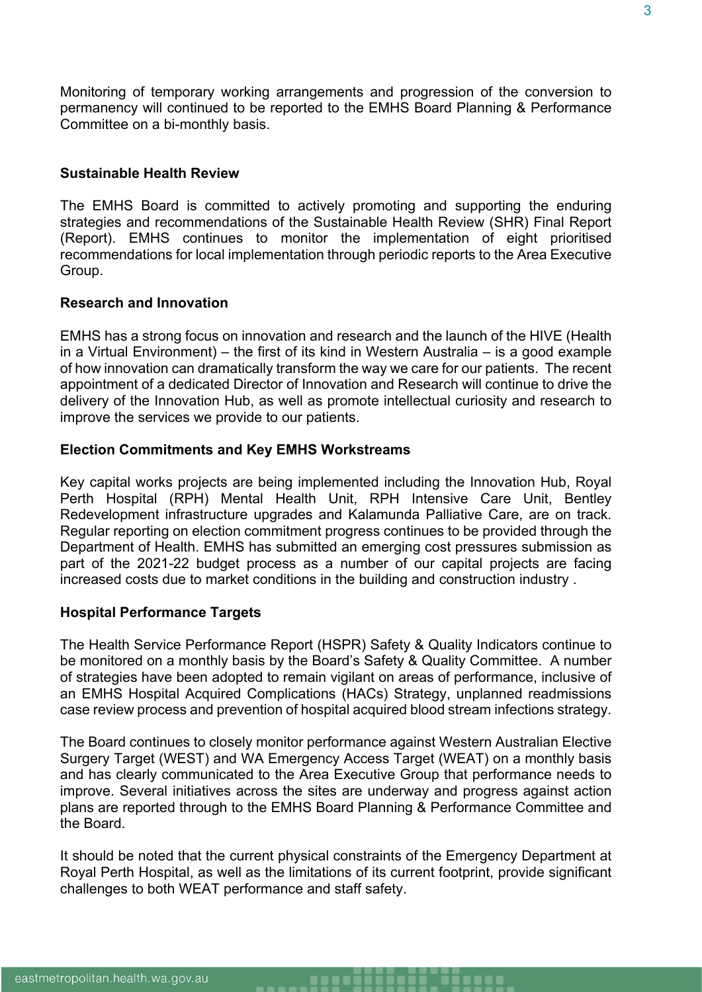Monitoring of temporary working arrangements and progression of the conversion to permanency will continued to be reported to the EMHS Board Planning & Performance Committee on a bi-monthly basis.

### **Sustainable Health Review**

The EMHS Board is committed to actively promoting and supporting the enduring strategies and recommendations of the Sustainable Health Review (SHR) Final Report (Report). EMHS continues to monitor the implementation of eight prioritised recommendations for local implementation through periodic reports to the Area Executive Group.

### **Research and Innovation**

EMHS has a strong focus on innovation and research and the launch of the HIVE (Health in a Virtual Environment) – the first of its kind in Western Australia – is a good example of how innovation can dramatically transform the way we care for our patients. The recent appointment of a dedicated Director of Innovation and Research will continue to drive the delivery of the Innovation Hub, as well as promote intellectual curiosity and research to improve the services we provide to our patients.

#### **Election Commitments and Key EMHS Workstreams**

Key capital works projects are being implemented including the Innovation Hub, Royal Perth Hospital (RPH) Mental Health Unit, RPH Intensive Care Unit, Bentley Redevelopment infrastructure upgrades and Kalamunda Palliative Care, are on track. Regular reporting on election commitment progress continues to be provided through the Department of Health. EMHS has submitted an emerging cost pressures submission as part of the 2021-22 budget process as a number of our capital projects are facing increased costs due to market conditions in the building and construction industry .

#### **Hospital Performance Targets**

The Health Service Performance Report (HSPR) Safety & Quality Indicators continue to be monitored on a monthly basis by the Board's Safety & Quality Committee. A number of strategies have been adopted to remain vigilant on areas of performance, inclusive of an EMHS Hospital Acquired Complications (HACs) Strategy, unplanned readmissions case review process and prevention of hospital acquired blood stream infections strategy.

The Board continues to closely monitor performance against Western Australian Elective Surgery Target (WEST) and WA Emergency Access Target (WEAT) on a monthly basis and has clearly communicated to the Area Executive Group that performance needs to improve. Several initiatives across the sites are underway and progress against action plans are reported through to the EMHS Board Planning & Performance Committee and the Board.

It should be noted that the current physical constraints of the Emergency Department at Royal Perth Hospital, as well as the limitations of its current footprint, provide significant challenges to both WEAT performance and staff safety.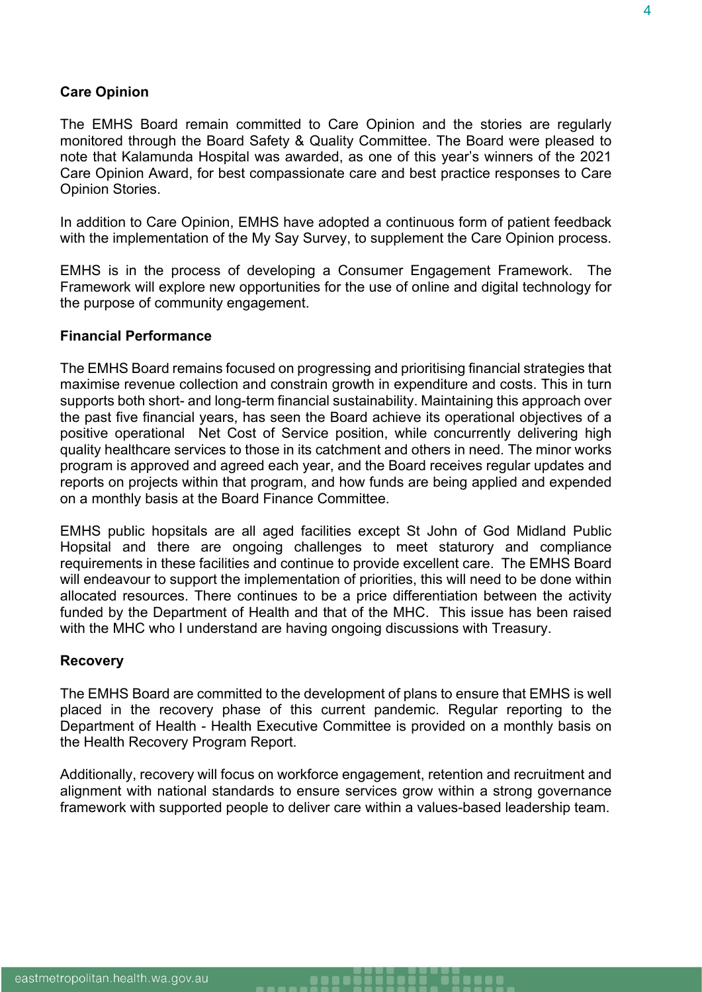### **Care Opinion**

The EMHS Board remain committed to Care Opinion and the stories are regularly monitored through the Board Safety & Quality Committee. The Board were pleased to note that Kalamunda Hospital was awarded, as one of this year's winners of the 2021 Care Opinion Award, for best compassionate care and best practice responses to Care Opinion Stories.

In addition to Care Opinion, EMHS have adopted a continuous form of patient feedback with the implementation of the My Say Survey, to supplement the Care Opinion process.

EMHS is in the process of developing a Consumer Engagement Framework. The Framework will explore new opportunities for the use of online and digital technology for the purpose of community engagement.

### **Financial Performance**

The EMHS Board remains focused on progressing and prioritising financial strategies that maximise revenue collection and constrain growth in expenditure and costs. This in turn supports both short- and long-term financial sustainability. Maintaining this approach over the past five financial years, has seen the Board achieve its operational objectives of a positive operational Net Cost of Service position, while concurrently delivering high quality healthcare services to those in its catchment and others in need. The minor works program is approved and agreed each year, and the Board receives regular updates and reports on projects within that program, and how funds are being applied and expended on a monthly basis at the Board Finance Committee.

EMHS public hopsitals are all aged facilities except St John of God Midland Public Hopsital and there are ongoing challenges to meet staturory and compliance requirements in these facilities and continue to provide excellent care. The EMHS Board will endeavour to support the implementation of priorities, this will need to be done within allocated resources. There continues to be a price differentiation between the activity funded by the Department of Health and that of the MHC. This issue has been raised with the MHC who I understand are having ongoing discussions with Treasury.

#### **Recovery**

The EMHS Board are committed to the development of plans to ensure that EMHS is well placed in the recovery phase of this current pandemic. Regular reporting to the Department of Health - Health Executive Committee is provided on a monthly basis on the Health Recovery Program Report.

Additionally, recovery will focus on workforce engagement, retention and recruitment and alignment with national standards to ensure services grow within a strong governance framework with supported people to deliver care within a values-based leadership team.